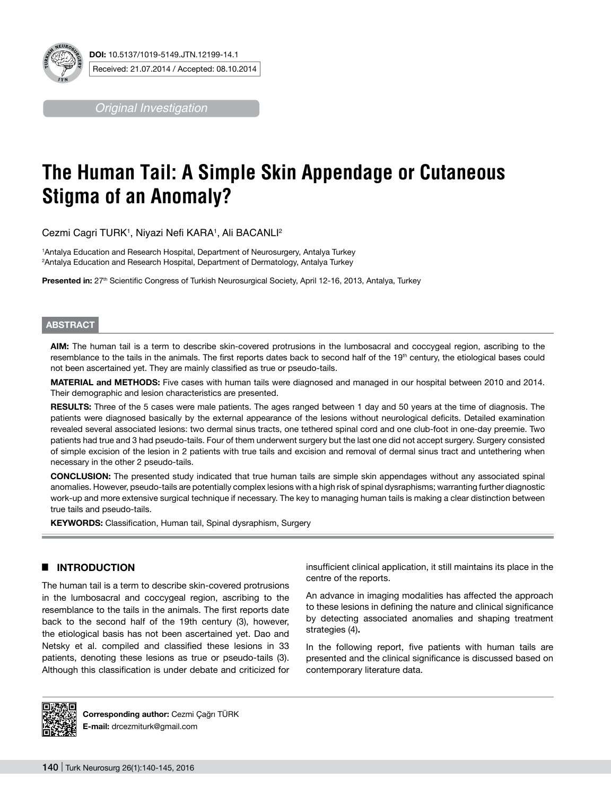

*Original Investigation*

# **The Human Tail: A Simple Skin Appendage or Cutaneous Stigma of an Anomaly?**

Cezmi Cagri TURK<sup>1</sup>, Niyazi Nefi KARA<sup>1</sup>, Ali BACANLl<sup>2</sup>

1 Antalya Education and Research Hospital, Department of Neurosurgery, Antalya Turkey 2 Antalya Education and Research Hospital, Department of Dermatology, Antalya Turkey

Presented in: 27<sup>th</sup> Scientific Congress of Turkish Neurosurgical Society, April 12-16, 2013, Antalya, Turkey

## **ABSTRACT**

**AIm:** The human tail is a term to describe skin-covered protrusions in the lumbosacral and coccygeal region, ascribing to the resemblance to the tails in the animals. The first reports dates back to second half of the 19<sup>th</sup> century, the etiological bases could not been ascertained yet. They are mainly classified as true or pseudo-tails.

**MaterIal and Methods:** Five cases with human tails were diagnosed and managed in our hospital between 2010 and 2014. Their demographic and lesion characteristics are presented.

**Results:** Three of the 5 cases were male patients. The ages ranged between 1 day and 50 years at the time of diagnosis. The patients were diagnosed basically by the external appearance of the lesions without neurological deficits. Detailed examination revealed several associated lesions: two dermal sinus tracts, one tethered spinal cord and one club-foot in one-day preemie. Two patients had true and 3 had pseudo-tails. Four of them underwent surgery but the last one did not accept surgery. Surgery consisted of simple excision of the lesion in 2 patients with true tails and excision and removal of dermal sinus tract and untethering when necessary in the other 2 pseudo-tails.

**ConclusIon:** The presented study indicated that true human tails are simple skin appendages without any associated spinal anomalies. However, pseudo-tails are potentially complex lesions with a high risk of spinal dysraphisms; warranting further diagnostic work-up and more extensive surgical technique if necessary. The key to managing human tails is making a clear distinction between true tails and pseudo-tails.

**KEYWORDS:** Classification, Human tail, Spinal dysraphism, Surgery

## █ **Introduction**

The human tail is a term to describe skin-covered protrusions in the lumbosacral and coccygeal region, ascribing to the resemblance to the tails in the animals. The first reports date back to the second half of the 19th century (3), however, the etiological basis has not been ascertained yet. Dao and Netsky et al. compiled and classified these lesions in 33 patients, denoting these lesions as true or pseudo-tails (3). Although this classification is under debate and criticized for insufficient clinical application, it still maintains its place in the centre of the reports.

An advance in imaging modalities has affected the approach to these lesions in defining the nature and clinical significance by detecting associated anomalies and shaping treatment strategies (4)**.**

In the following report, five patients with human tails are presented and the clinical significance is discussed based on contemporary literature data.



**Corresponding author:** Cezmi Çağrı TÜRK **E-mail:** drcezmiturk@gmail.com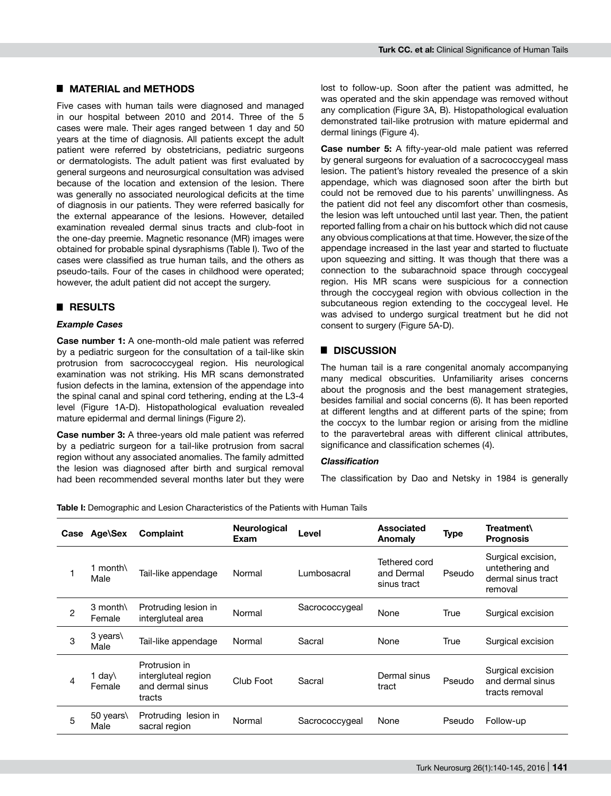## █ **Material and Methods**

Five cases with human tails were diagnosed and managed in our hospital between 2010 and 2014. Three of the 5 cases were male. Their ages ranged between 1 day and 50 years at the time of diagnosis. All patients except the adult patient were referred by obstetricians, pediatric surgeons or dermatologists. The adult patient was first evaluated by general surgeons and neurosurgical consultation was advised because of the location and extension of the lesion. There was generally no associated neurological deficits at the time of diagnosis in our patients. They were referred basically for the external appearance of the lesions. However, detailed examination revealed dermal sinus tracts and club-foot in the one-day preemie. Magnetic resonance (MR) images were obtained for probable spinal dysraphisms (Table I). Two of the cases were classified as true human tails, and the others as pseudo-tails. Four of the cases in childhood were operated; however, the adult patient did not accept the surgery.

## █ **RESULTS**

# *Example Cases*

**Case number 1:** A one-month-old male patient was referred by a pediatric surgeon for the consultation of a tail-like skin protrusion from sacrococcygeal region. His neurological examination was not striking. His MR scans demonstrated fusion defects in the lamina, extension of the appendage into the spinal canal and spinal cord tethering, ending at the L3-4 level (Figure 1A-D). Histopathological evaluation revealed mature epidermal and dermal linings (Figure 2).

**Case number 3:** A three-years old male patient was referred by a pediatric surgeon for a tail-like protrusion from sacral region without any associated anomalies. The family admitted the lesion was diagnosed after birth and surgical removal had been recommended several months later but they were lost to follow-up. Soon after the patient was admitted, he was operated and the skin appendage was removed without any complication (Figure 3A, B). Histopathological evaluation demonstrated tail-like protrusion with mature epidermal and dermal linings (Figure 4).

**Case number 5:** A fifty-year-old male patient was referred by general surgeons for evaluation of a sacrococcygeal mass lesion. The patient's history revealed the presence of a skin appendage, which was diagnosed soon after the birth but could not be removed due to his parents' unwillingness. As the patient did not feel any discomfort other than cosmesis, the lesion was left untouched until last year. Then, the patient reported falling from a chair on his buttock which did not cause any obvious complications at that time. However, the size of the appendage increased in the last year and started to fluctuate upon squeezing and sitting. It was though that there was a connection to the subarachnoid space through coccygeal region. His MR scans were suspicious for a connection through the coccygeal region with obvious collection in the subcutaneous region extending to the coccygeal level. He was advised to undergo surgical treatment but he did not consent to surgery (Figure 5A-D).

# █ **Discussion**

The human tail is a rare congenital anomaly accompanying many medical obscurities. Unfamiliarity arises concerns about the prognosis and the best management strategies, besides familial and social concerns (6). It has been reported at different lengths and at different parts of the spine; from the coccyx to the lumbar region or arising from the midline to the paravertebral areas with different clinical attributes, significance and classification schemes (4).

#### *Classification*

The classification by Dao and Netsky in 1984 is generally

**Table I:** Demographic and Lesion Characteristics of the Patients with Human Tails

| Case           | Age\Sex                   | Complaint                                                          | <b>Neurological</b><br>Exam | Level          | Associated<br>Anomaly                      | <b>Type</b> | Treatment\<br><b>Prognosis</b>                                         |
|----------------|---------------------------|--------------------------------------------------------------------|-----------------------------|----------------|--------------------------------------------|-------------|------------------------------------------------------------------------|
|                | 1 month $\langle$<br>Male | Tail-like appendage                                                | Normal                      | Lumbosacral    | Tethered cord<br>and Dermal<br>sinus tract | Pseudo      | Surgical excision,<br>untethering and<br>dermal sinus tract<br>removal |
| $\overline{c}$ | $3$ month<br>Female       | Protruding lesion in<br>intergluteal area                          | Normal                      | Sacrococcygeal | None                                       | True        | Surgical excision                                                      |
| 3              | 3 years\<br>Male          | Tail-like appendage                                                | Normal                      | Sacral         | None                                       | True        | Surgical excision                                                      |
| 4              | 1 day∖<br>Female          | Protrusion in<br>intergluteal region<br>and dermal sinus<br>tracts | Club Foot                   | Sacral         | Dermal sinus<br>tract                      | Pseudo      | Surgical excision<br>and dermal sinus<br>tracts removal                |
| 5              | 50 years\<br>Male         | Protruding lesion in<br>sacral region                              | Normal                      | Sacrococcygeal | None                                       | Pseudo      | Follow-up                                                              |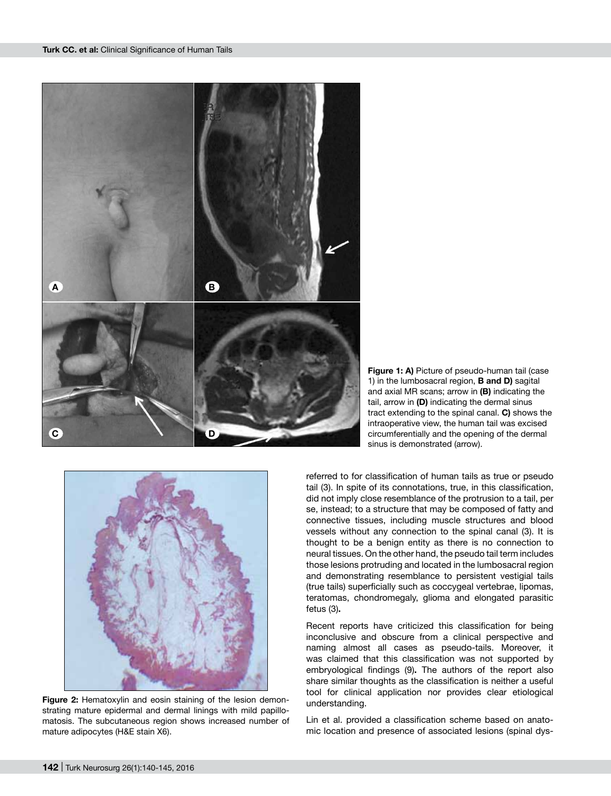

**Figure 1: a)** Picture of pseudo-human tail (case 1) in the lumbosacral region, **b and d)** sagital and axial MR scans; arrow in **(b)** indicating the tail, arrow in (D) indicating the dermal sinus tract extending to the spinal canal. **C)** shows the intraoperative view, the human tail was excised circumferentially and the opening of the dermal sinus is demonstrated (arrow).



**Figure 2:** Hematoxylin and eosin staining of the lesion demonstrating mature epidermal and dermal linings with mild papillomatosis. The subcutaneous region shows increased number of mature adipocytes (H&E stain X6).

referred to for classification of human tails as true or pseudo tail (3). In spite of its connotations, true, in this classification, did not imply close resemblance of the protrusion to a tail, per se, instead; to a structure that may be composed of fatty and connective tissues, including muscle structures and blood vessels without any connection to the spinal canal (3). It is thought to be a benign entity as there is no connection to neural tissues. On the other hand, the pseudo tail term includes those lesions protruding and located in the lumbosacral region and demonstrating resemblance to persistent vestigial tails (true tails) superficially such as coccygeal vertebrae, lipomas, teratomas, chondromegaly, glioma and elongated parasitic fetus (3)**.**

Recent reports have criticized this classification for being inconclusive and obscure from a clinical perspective and naming almost all cases as pseudo-tails. Moreover, it was claimed that this classification was not supported by embryological findings (9)**.** The authors of the report also share similar thoughts as the classification is neither a useful tool for clinical application nor provides clear etiological understanding.

Lin et al. provided a classification scheme based on anatomic location and presence of associated lesions (spinal dys-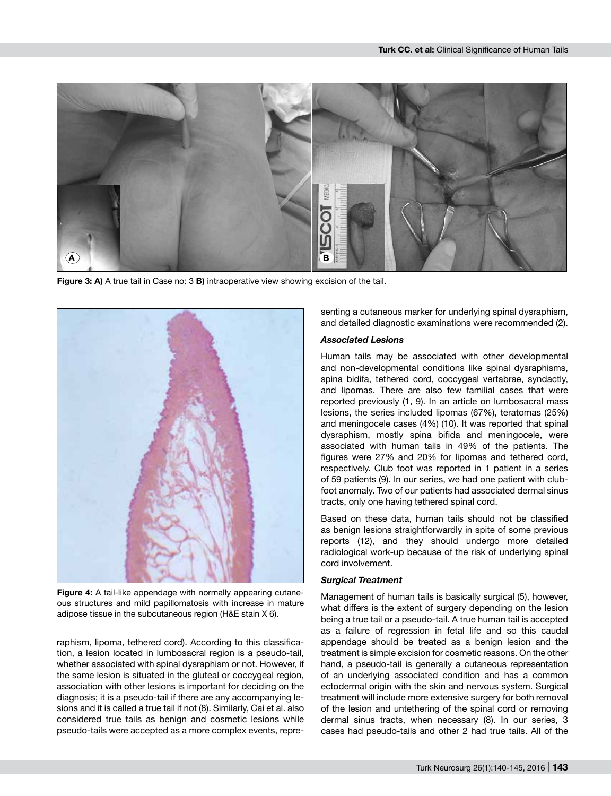

**Figure 3: a)** A true tail in Case no: 3 **b)** intraoperative view showing excision of the tail.



**Figure 4:** A tail-like appendage with normally appearing cutaneous structures and mild papillomatosis with increase in mature adipose tissue in the subcutaneous region (H&E stain X 6).

raphism, lipoma, tethered cord). According to this classification, a lesion located in lumbosacral region is a pseudo-tail, whether associated with spinal dysraphism or not. However, if the same lesion is situated in the gluteal or coccygeal region, association with other lesions is important for deciding on the diagnosis; it is a pseudo-tail if there are any accompanying lesions and it is called a true tail if not (8). Similarly, Cai et al. also considered true tails as benign and cosmetic lesions while pseudo-tails were accepted as a more complex events, representing a cutaneous marker for underlying spinal dysraphism, and detailed diagnostic examinations were recommended (2).

#### *Associated Lesions*

Human tails may be associated with other developmental and non-developmental conditions like spinal dysraphisms, spina bidifa, tethered cord, coccygeal vertabrae, syndactly, and lipomas. There are also few familial cases that were reported previously (1, 9). In an article on lumbosacral mass lesions, the series included lipomas (67%), teratomas (25%) and meningocele cases (4%) (10). It was reported that spinal dysraphism, mostly spina bifida and meningocele, were associated with human tails in 49% of the patients. The figures were 27% and 20% for lipomas and tethered cord, respectively. Club foot was reported in 1 patient in a series of 59 patients (9). In our series, we had one patient with clubfoot anomaly. Two of our patients had associated dermal sinus tracts, only one having tethered spinal cord.

Based on these data, human tails should not be classified as benign lesions straightforwardly in spite of some previous reports (12), and they should undergo more detailed radiological work-up because of the risk of underlying spinal cord involvement.

#### *Surgical Treatment*

Management of human tails is basically surgical (5), however, what differs is the extent of surgery depending on the lesion being a true tail or a pseudo-tail. A true human tail is accepted as a failure of regression in fetal life and so this caudal appendage should be treated as a benign lesion and the treatment is simple excision for cosmetic reasons. On the other hand, a pseudo-tail is generally a cutaneous representation of an underlying associated condition and has a common ectodermal origin with the skin and nervous system. Surgical treatment will include more extensive surgery for both removal of the lesion and untethering of the spinal cord or removing dermal sinus tracts, when necessary (8). In our series, 3 cases had pseudo-tails and other 2 had true tails. All of the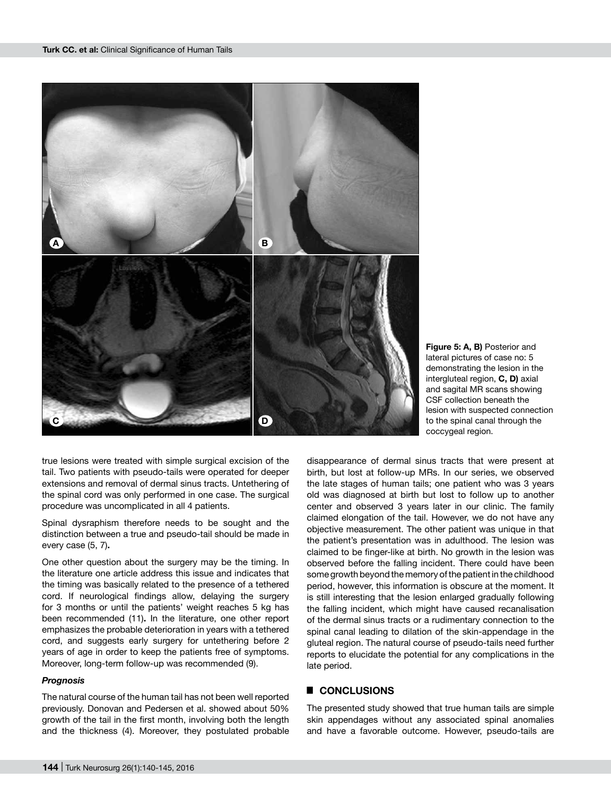



true lesions were treated with simple surgical excision of the tail. Two patients with pseudo-tails were operated for deeper extensions and removal of dermal sinus tracts. Untethering of the spinal cord was only performed in one case. The surgical procedure was uncomplicated in all 4 patients.

Spinal dysraphism therefore needs to be sought and the distinction between a true and pseudo-tail should be made in every case (5, 7)**.**

One other question about the surgery may be the timing. In the literature one article address this issue and indicates that the timing was basically related to the presence of a tethered cord. If neurological findings allow, delaying the surgery for 3 months or until the patients' weight reaches 5 kg has been recommended (11)**.** In the literature, one other report emphasizes the probable deterioration in years with a tethered cord, and suggests early surgery for untethering before 2 years of age in order to keep the patients free of symptoms. Moreover, long-term follow-up was recommended (9).

#### *Prognosis*

The natural course of the human tail has not been well reported previously. Donovan and Pedersen et al. showed about 50% growth of the tail in the first month, involving both the length and the thickness (4). Moreover, they postulated probable

disappearance of dermal sinus tracts that were present at birth, but lost at follow-up MRs. In our series, we observed the late stages of human tails; one patient who was 3 years old was diagnosed at birth but lost to follow up to another center and observed 3 years later in our clinic. The family claimed elongation of the tail. However, we do not have any objective measurement. The other patient was unique in that the patient's presentation was in adulthood. The lesion was claimed to be finger-like at birth. No growth in the lesion was observed before the falling incident. There could have been some growth beyond the memory of the patient in the childhood period, however, this information is obscure at the moment. It is still interesting that the lesion enlarged gradually following the falling incident, which might have caused recanalisation of the dermal sinus tracts or a rudimentary connection to the spinal canal leading to dilation of the skin-appendage in the gluteal region. The natural course of pseudo-tails need further reports to elucidate the potential for any complications in the late period.

# █ **Conclusions**

The presented study showed that true human tails are simple skin appendages without any associated spinal anomalies and have a favorable outcome. However, pseudo-tails are